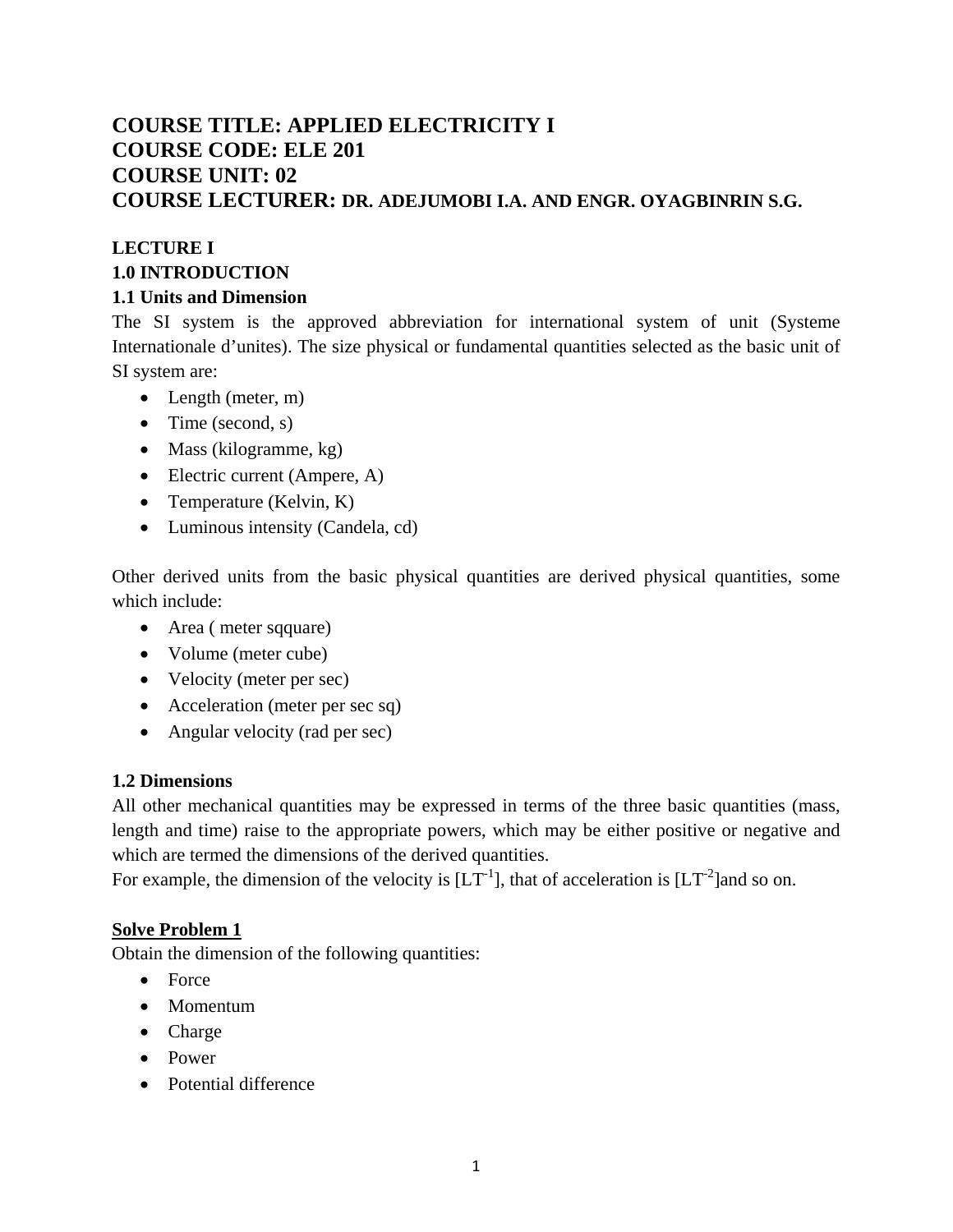## **COURSE TITLE: APPLIED ELECTRICITY I COURSE CODE: ELE 201 COURSE UNIT: 02 COURSE LECTURER: DR. ADEJUMOBI I.A. AND ENGR. OYAGBINRIN S.G.**

# **LECTURE I 1.0 INTRODUCTION**

#### **1.1 Units and Dimension**

The SI system is the approved abbreviation for international system of unit (Systeme Internationale d'unites). The size physical or fundamental quantities selected as the basic unit of SI system are:

- Length (meter, m)
- Time (second, s)
- Mass (kilogramme, kg)
- Electric current (Ampere, A)
- Temperature (Kelvin, K)
- Luminous intensity (Candela, cd)

Other derived units from the basic physical quantities are derived physical quantities, some which include:

- Area (meter sqquare)
- Volume (meter cube)
- Velocity (meter per sec)
- Acceleration (meter per sec sq)
- Angular velocity (rad per sec)

#### **1.2 Dimensions**

All other mechanical quantities may be expressed in terms of the three basic quantities (mass, length and time) raise to the appropriate powers, which may be either positive or negative and which are termed the dimensions of the derived quantities.

For example, the dimension of the velocity is  $[LT^{-1}]$ , that of acceleration is  $[LT^{-2}]$ and so on.

### **Solve Problem 1**

Obtain the dimension of the following quantities:

- Force
- Momentum
- Charge
- Power
- Potential difference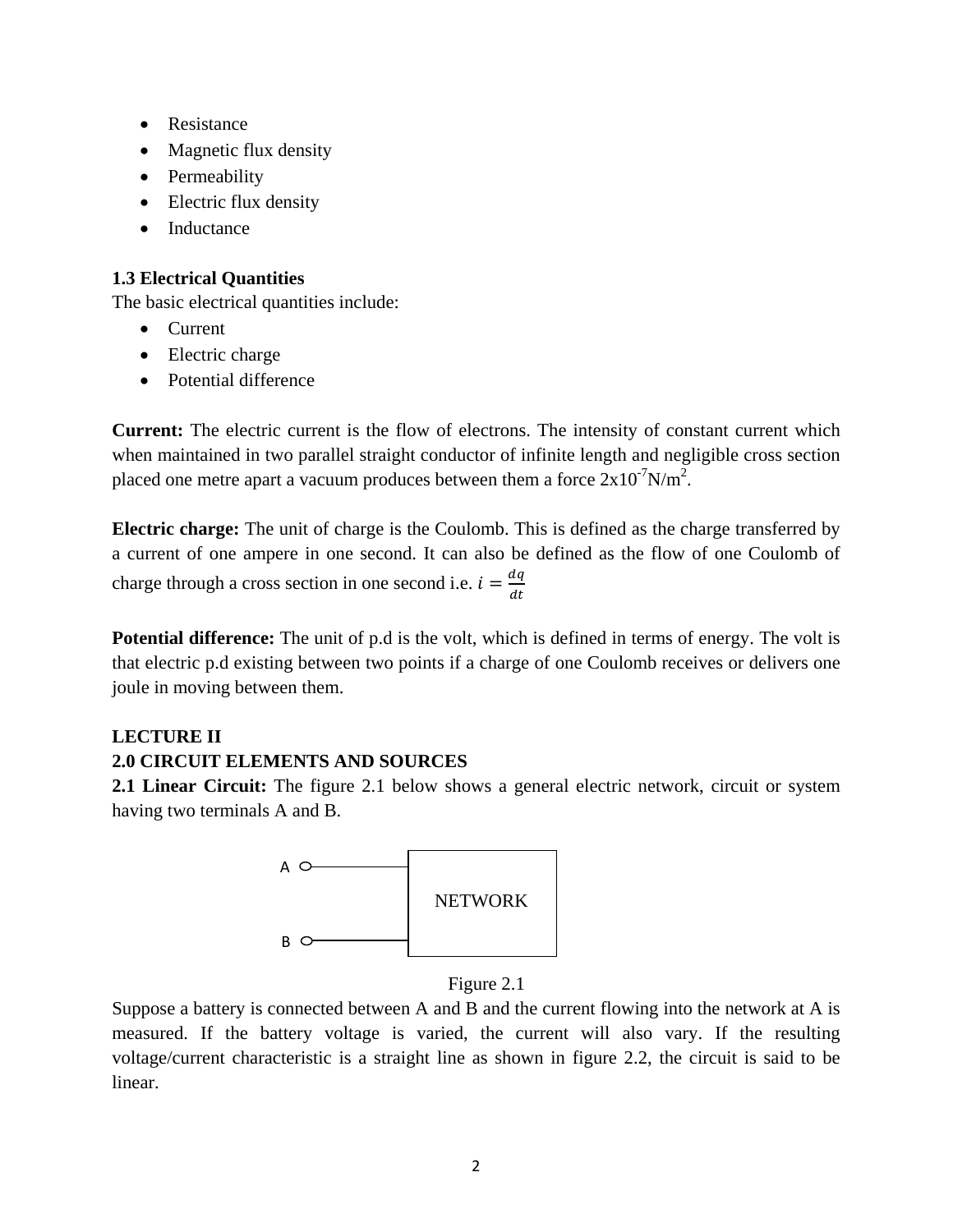- Resistance
- Magnetic flux density
- Permeability
- Electric flux density
- Inductance

#### **1.3 Electrical Quantities**

The basic electrical quantities include:

- Current
- Electric charge
- Potential difference

**Current:** The electric current is the flow of electrons. The intensity of constant current which when maintained in two parallel straight conductor of infinite length and negligible cross section placed one metre apart a vacuum produces between them a force  $2x10^{-7}N/m^2$ .

**Electric charge:** The unit of charge is the Coulomb. This is defined as the charge transferred by a current of one ampere in one second. It can also be defined as the flow of one Coulomb of charge through a cross section in one second i.e.  $i = \frac{dq}{dt}$ 

**Potential difference:** The unit of p.d is the volt, which is defined in terms of energy. The volt is that electric p.d existing between two points if a charge of one Coulomb receives or delivers one joule in moving between them.

#### **LECTURE II**

#### **2.0 CIRCUIT ELEMENTS AND SOURCES**

**2.1 Linear Circuit:** The figure 2.1 below shows a general electric network, circuit or system having two terminals A and B.



Figure 2.1

Suppose a battery is connected between A and B and the current flowing into the network at A is measured. If the battery voltage is varied, the current will also vary. If the resulting voltage/current characteristic is a straight line as shown in figure 2.2, the circuit is said to be linear.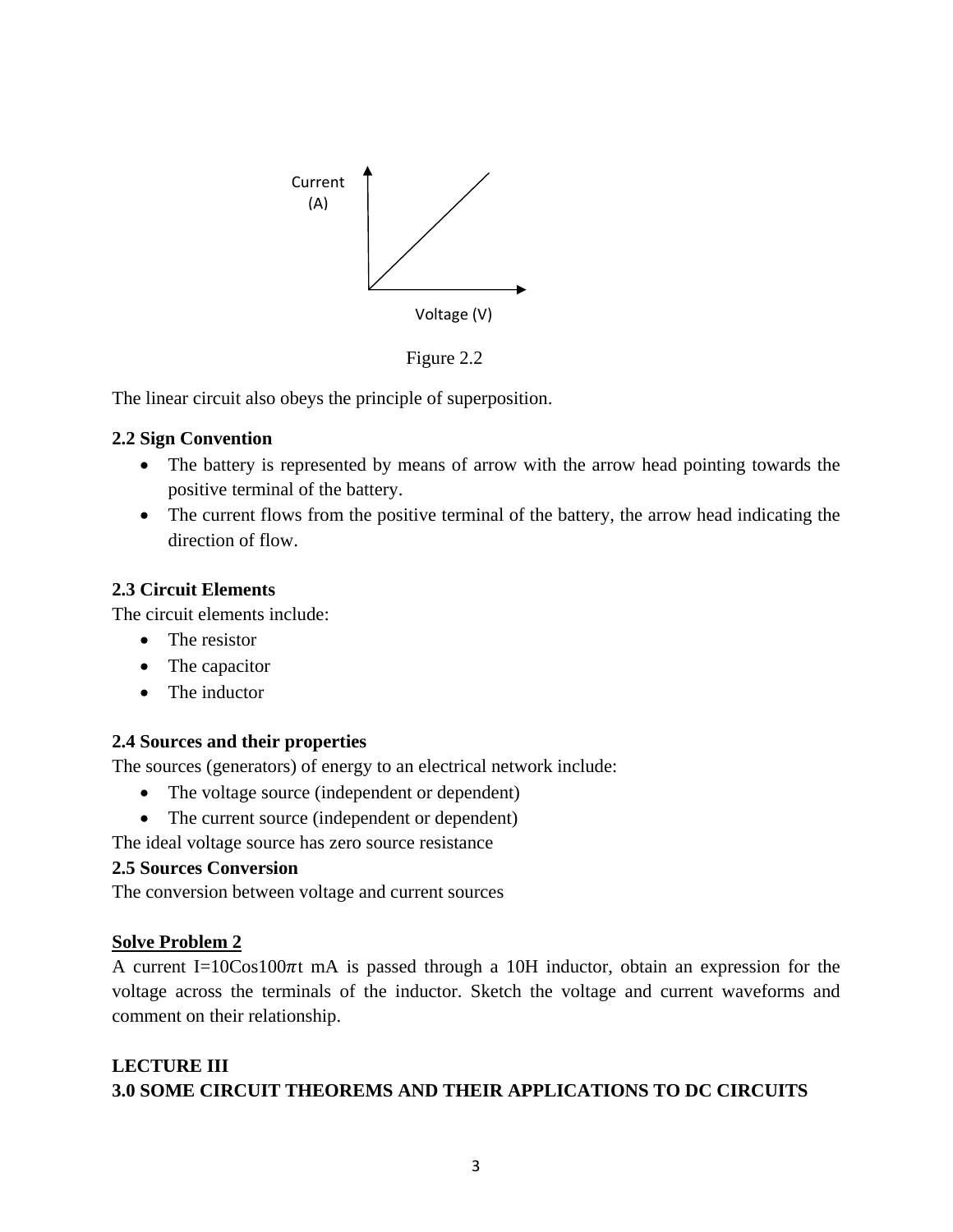

Figure 2.2

The linear circuit also obeys the principle of superposition.

#### **2.2 Sign Convention**

- The battery is represented by means of arrow with the arrow head pointing towards the positive terminal of the battery.
- The current flows from the positive terminal of the battery, the arrow head indicating the direction of flow.

#### **2.3 Circuit Elements**

The circuit elements include:

- The resistor
- The capacitor
- The inductor

### **2.4 Sources and their properties**

The sources (generators) of energy to an electrical network include:

- The voltage source (independent or dependent)
- The current source (independent or dependent)

The ideal voltage source has zero source resistance

### **2.5 Sources Conversion**

The conversion between voltage and current sources

#### **Solve Problem 2**

A current I=10Cos100 $\pi$ t mA is passed through a 10H inductor, obtain an expression for the voltage across the terminals of the inductor. Sketch the voltage and current waveforms and comment on their relationship.

### **LECTURE III 3.0 SOME CIRCUIT THEOREMS AND THEIR APPLICATIONS TO DC CIRCUITS**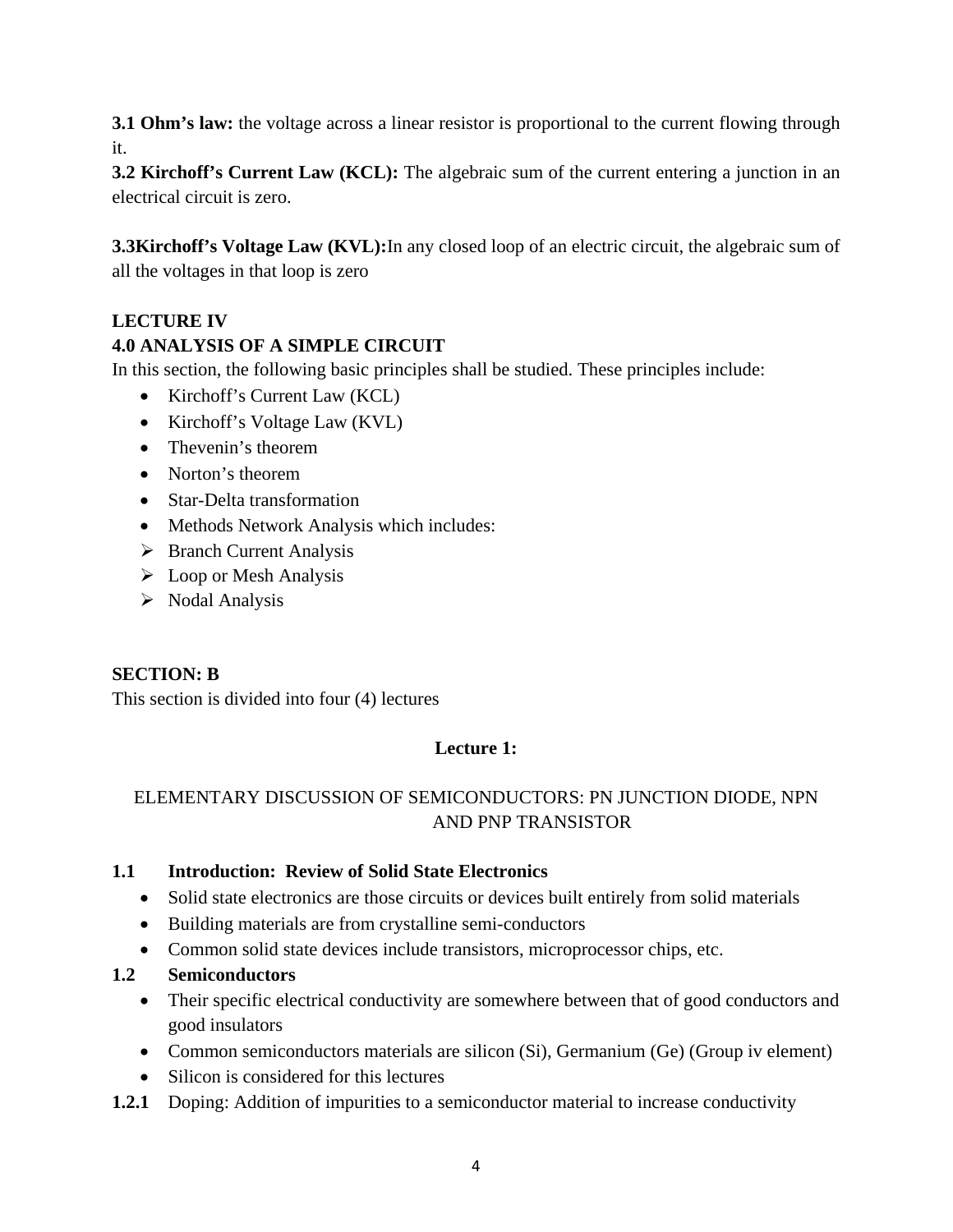**3.1 Ohm's law:** the voltage across a linear resistor is proportional to the current flowing through it.

**3.2 Kirchoff's Current Law (KCL):** The algebraic sum of the current entering a junction in an electrical circuit is zero.

**3.3Kirchoff's Voltage Law (KVL):**In any closed loop of an electric circuit, the algebraic sum of all the voltages in that loop is zero

### **LECTURE IV**

### **4.0 ANALYSIS OF A SIMPLE CIRCUIT**

In this section, the following basic principles shall be studied. These principles include:

- Kirchoff's Current Law (KCL)
- Kirchoff's Voltage Law (KVL)
- Thevenin's theorem
- Norton's theorem
- Star-Delta transformation
- Methods Network Analysis which includes:
- $\triangleright$  Branch Current Analysis
- $\triangleright$  Loop or Mesh Analysis
- $\triangleright$  Nodal Analysis

#### **SECTION: B**

This section is divided into four (4) lectures

### **Lecture 1:**

### ELEMENTARY DISCUSSION OF SEMICONDUCTORS: PN JUNCTION DIODE, NPN AND PNP TRANSISTOR

#### **1.1 Introduction: Review of Solid State Electronics**

- Solid state electronics are those circuits or devices built entirely from solid materials
- Building materials are from crystalline semi-conductors
- Common solid state devices include transistors, microprocessor chips, etc.

#### **1.2 Semiconductors**

- Their specific electrical conductivity are somewhere between that of good conductors and good insulators
- Common semiconductors materials are silicon (Si), Germanium (Ge) (Group iv element)
- Silicon is considered for this lectures
- **1.2.1** Doping: Addition of impurities to a semiconductor material to increase conductivity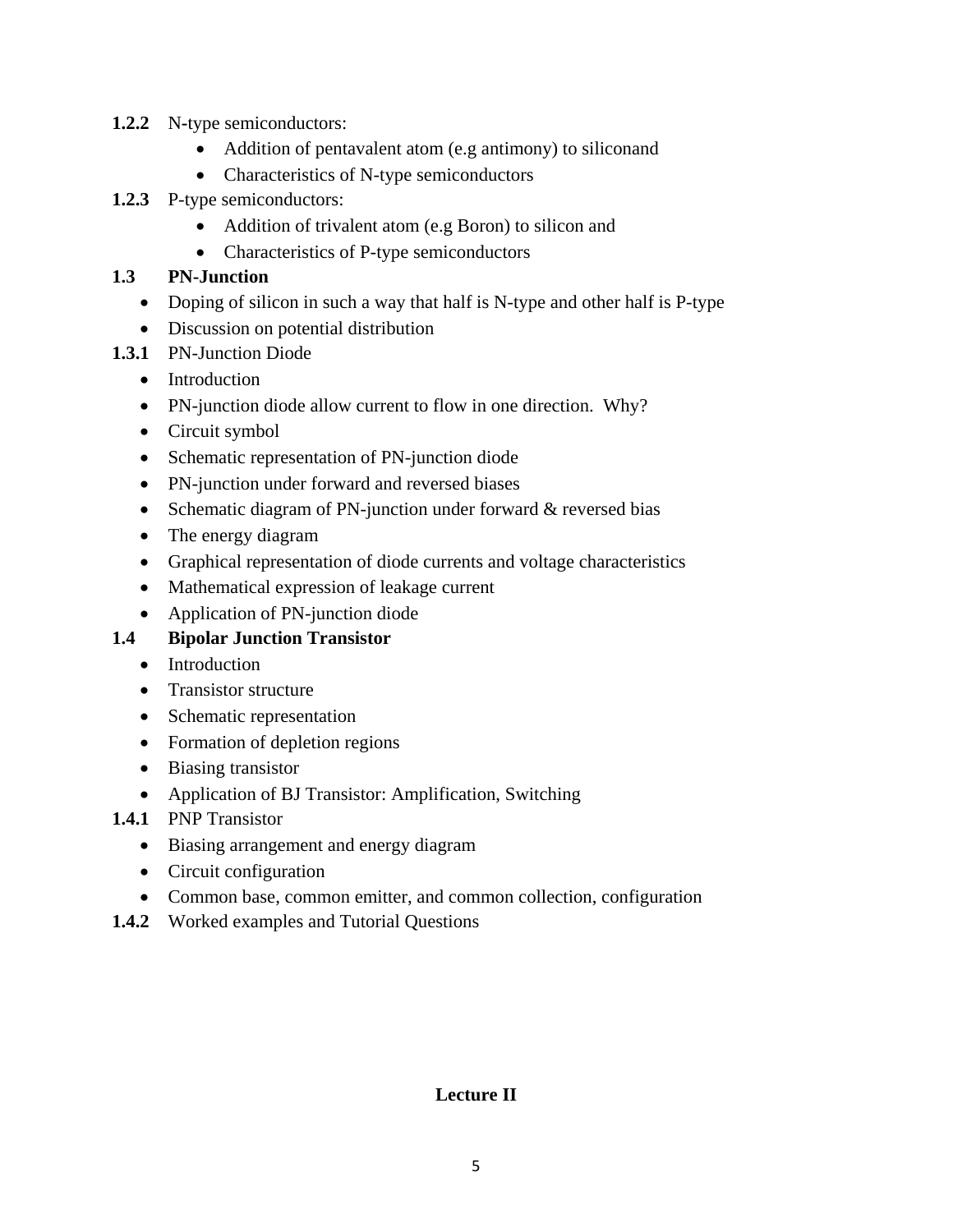- **1.2.2** N**-**type semiconductors:
	- Addition of pentavalent atom (e.g antimony) to siliconand
	- Characteristics of N-type semiconductors
- **1.2.3** P-type semiconductors:
	- Addition of trivalent atom (e.g Boron) to silicon and
	- Characteristics of P-type semiconductors

#### **1.3 PN-Junction**

- Doping of silicon in such a way that half is N-type and other half is P-type
- Discussion on potential distribution
- **1.3.1** PN-Junction Diode
	- Introduction
	- PN-junction diode allow current to flow in one direction. Why?
	- Circuit symbol
	- Schematic representation of PN-junction diode
	- PN-junction under forward and reversed biases
	- Schematic diagram of PN-junction under forward & reversed bias
	- The energy diagram
	- Graphical representation of diode currents and voltage characteristics
	- Mathematical expression of leakage current
	- Application of PN-junction diode

### **1.4 Bipolar Junction Transistor**

- Introduction
- Transistor structure
- Schematic representation
- Formation of depletion regions
- Biasing transistor
- Application of BJ Transistor: Amplification, Switching
- **1.4.1** PNP Transistor
	- Biasing arrangement and energy diagram
	- Circuit configuration
	- Common base, common emitter, and common collection, configuration
- **1.4.2** Worked examples and Tutorial Questions

### **Lecture II**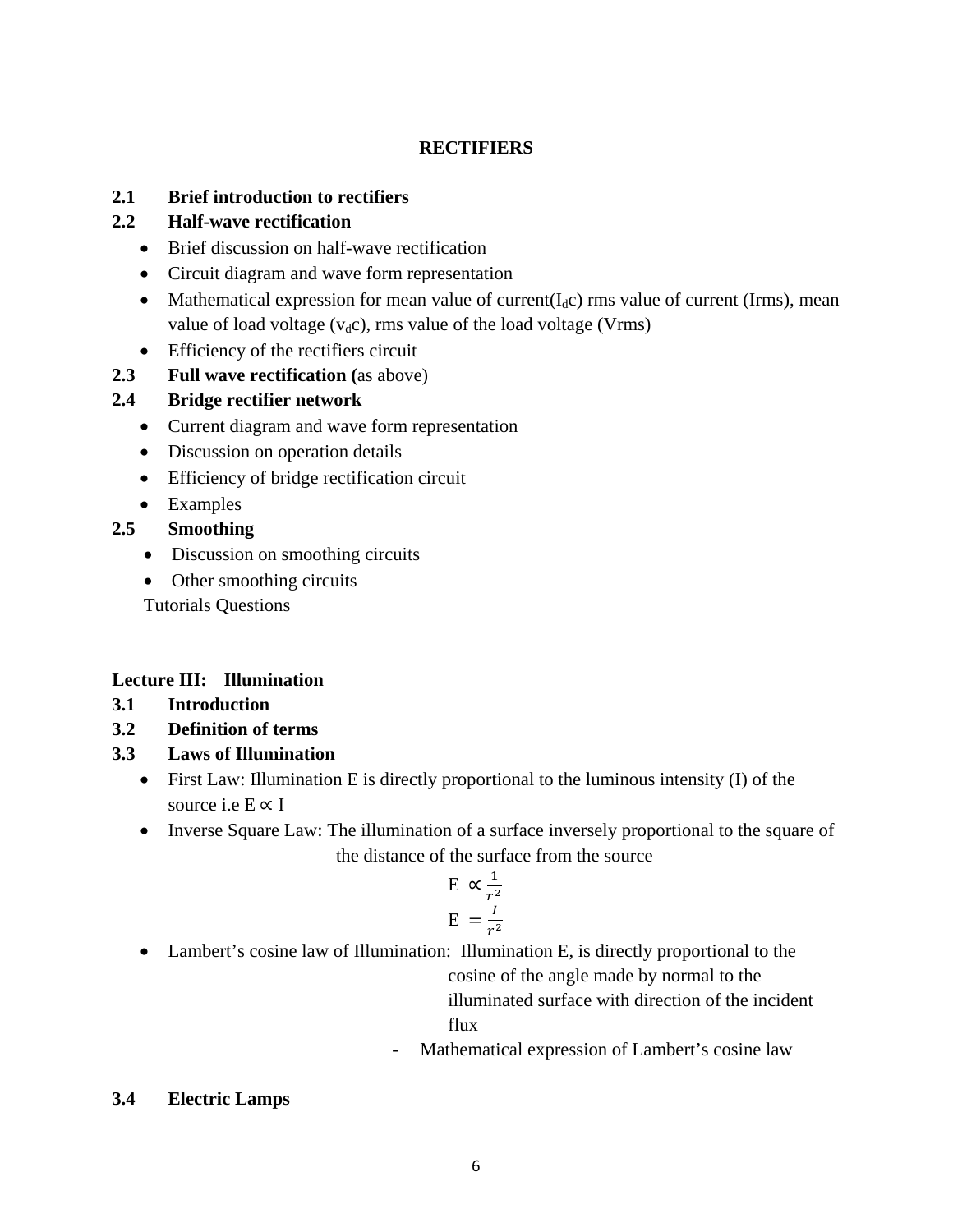#### **RECTIFIERS**

#### **2.1 Brief introduction to rectifiers**

#### **2.2 Half-wave rectification**

- Brief discussion on half-wave rectification
- Circuit diagram and wave form representation
- Mathematical expression for mean value of current( $I_d$ c) rms value of current (Irms), mean value of load voltage  $(v_d c)$ , rms value of the load voltage (Vrms)
- Efficiency of the rectifiers circuit
- **2.3 Full wave rectification (**as above)

### **2.4 Bridge rectifier network**

- Current diagram and wave form representation
- Discussion on operation details
- Efficiency of bridge rectification circuit
- Examples

### **2.5 Smoothing**

- Discussion on smoothing circuits
- Other smoothing circuits

Tutorials Questions

### **Lecture III: Illumination**

- **3.1 Introduction**
- **3.2 Definition of terms**
- **3.3 Laws of Illumination**
	- First Law: Illumination E is directly proportional to the luminous intensity (I) of the source i.e  $E \propto I$
	- Inverse Square Law: The illumination of a surface inversely proportional to the square of the distance of the surface from the source

$$
E \propto \frac{1}{r^2}
$$

$$
E = \frac{I}{r^2}
$$

• Lambert's cosine law of Illumination: Illumination E, is directly proportional to the

cosine of the angle made by normal to the

illuminated surface with direction of the incident flux

Mathematical expression of Lambert's cosine law

### **3.4 Electric Lamps**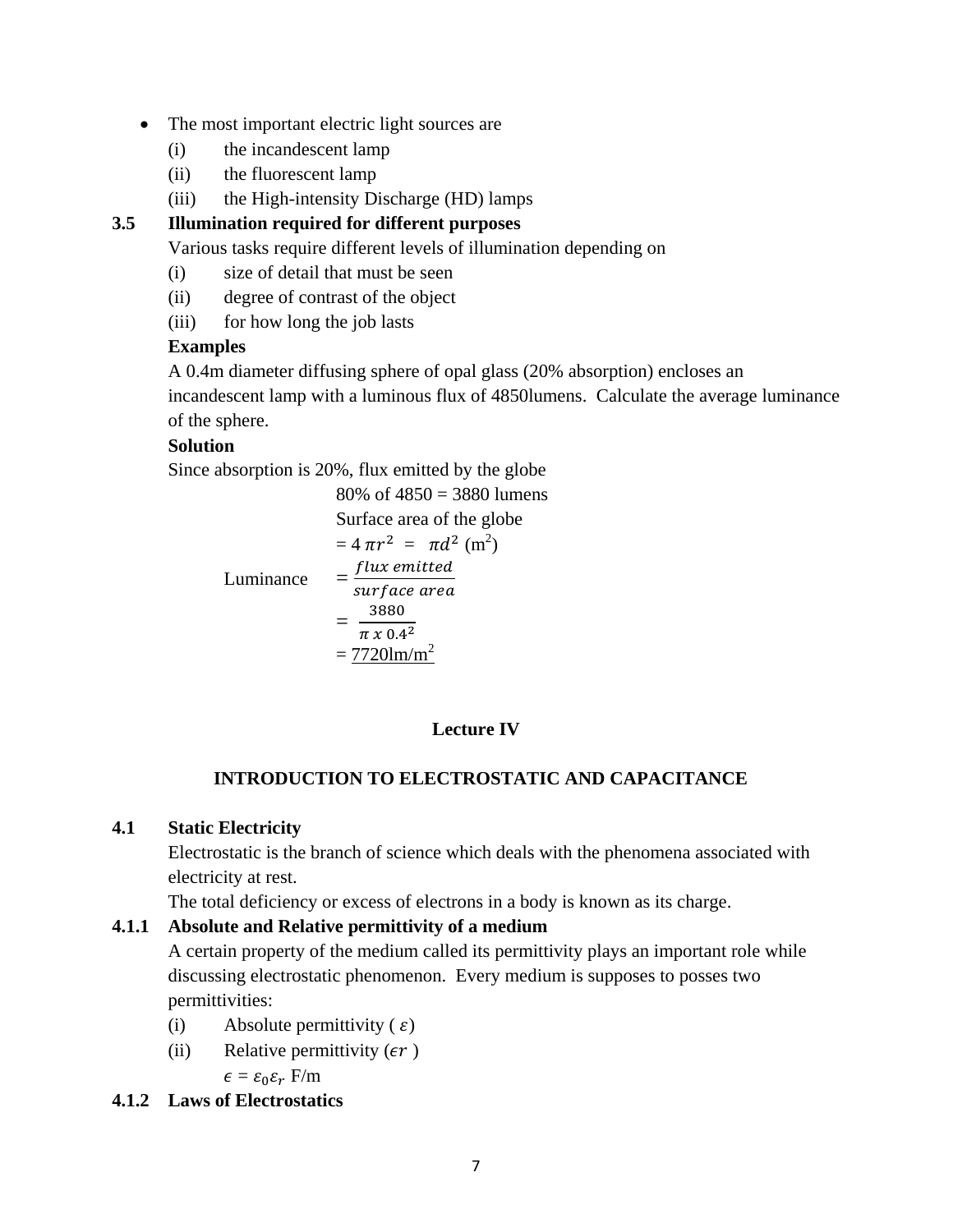- The most important electric light sources are
	- (i) the incandescent lamp
	- (ii) the fluorescent lamp
	- (iii) the High-intensity Discharge (HD) lamps

### **3.5 Illumination required for different purposes**

Various tasks require different levels of illumination depending on

- (i) size of detail that must be seen
- (ii) degree of contrast of the object
- (iii) for how long the job lasts

#### **Examples**

A 0.4m diameter diffusing sphere of opal glass (20% absorption) encloses an incandescent lamp with a luminous flux of 4850lumens. Calculate the average luminance of the sphere.

### **Solution**

Since absorption is 20%, flux emitted by the globe

80% of 4850 = 3880 lumens  
\nSurface area of the globe  
\n
$$
= 4 \pi r^2 = \pi d^2
$$
 (m<sup>2</sup>)  
\nLuminance 
$$
= \frac{flux emitted}{surface area}
$$
\n
$$
= \frac{3880}{\pi \times 0.4^2}
$$
\n
$$
= \frac{7720 \text{lm/m}^2}{}
$$

### **Lecture IV**

### **INTRODUCTION TO ELECTROSTATIC AND CAPACITANCE**

#### **4.1 Static Electricity**

Electrostatic is the branch of science which deals with the phenomena associated with electricity at rest.

The total deficiency or excess of electrons in a body is known as its charge.

### **4.1.1 Absolute and Relative permittivity of a medium**

A certain property of the medium called its permittivity plays an important role while discussing electrostatic phenomenon. Every medium is supposes to posses two permittivities:

- (i) Absolute permittivity ( $\varepsilon$ )
- (ii) Relative permittivity  $(\epsilon r)$

 $\epsilon = \epsilon_0 \epsilon_r$  F/m

#### **4.1.2 Laws of Electrostatics**